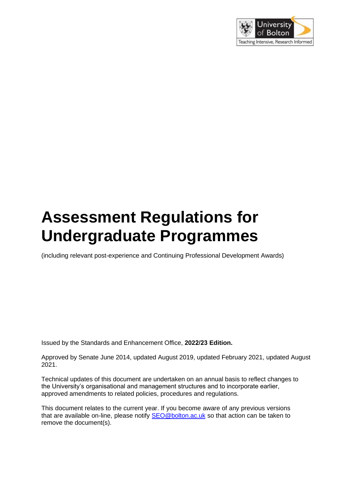

# **Assessment Regulations for Undergraduate Programmes**

(including relevant post-experience and Continuing Professional Development Awards)

Issued by the Standards and Enhancement Office, **2022/23 Edition.** 

Approved by Senate June 2014, updated August 2019, updated February 2021, updated August 2021.

Technical updates of this document are undertaken on an annual basis to reflect changes to the University's organisational and management structures and to incorporate earlier, approved amendments to related policies, procedures and regulations.

This document relates to the current year. If you become aware of any previous versions that are available on-line, please notify **SEO@bolton.ac.uk** so that action can be taken to remove the document(s).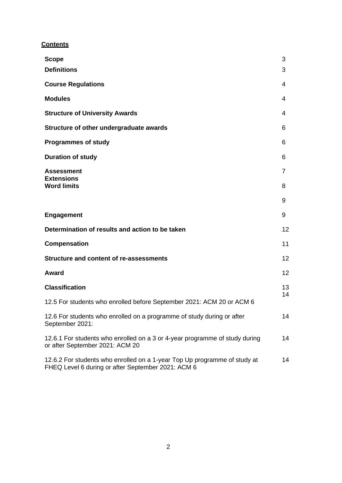## **Contents**

| <b>Scope</b>                                                                                                                    | 3        |
|---------------------------------------------------------------------------------------------------------------------------------|----------|
| <b>Definitions</b>                                                                                                              | 3        |
| <b>Course Regulations</b>                                                                                                       | 4        |
| <b>Modules</b>                                                                                                                  | 4        |
| <b>Structure of University Awards</b>                                                                                           | 4        |
| Structure of other undergraduate awards                                                                                         | 6        |
| <b>Programmes of study</b>                                                                                                      | 6        |
| <b>Duration of study</b>                                                                                                        | 6        |
| <b>Assessment</b><br><b>Extensions</b>                                                                                          | 7        |
| <b>Word limits</b>                                                                                                              | 8        |
|                                                                                                                                 | 9        |
| <b>Engagement</b>                                                                                                               | 9        |
| Determination of results and action to be taken                                                                                 | 12       |
| <b>Compensation</b>                                                                                                             | 11       |
| <b>Structure and content of re-assessments</b>                                                                                  | 12       |
| Award                                                                                                                           | 12       |
| <b>Classification</b>                                                                                                           | 13<br>14 |
| 12.5 For students who enrolled before September 2021: ACM 20 or ACM 6                                                           |          |
| 12.6 For students who enrolled on a programme of study during or after<br>September 2021:                                       | 14       |
| 12.6.1 For students who enrolled on a 3 or 4-year programme of study during<br>or after September 2021: ACM 20                  | 14       |
| 12.6.2 For students who enrolled on a 1-year Top Up programme of study at<br>FHEQ Level 6 during or after September 2021: ACM 6 | 14       |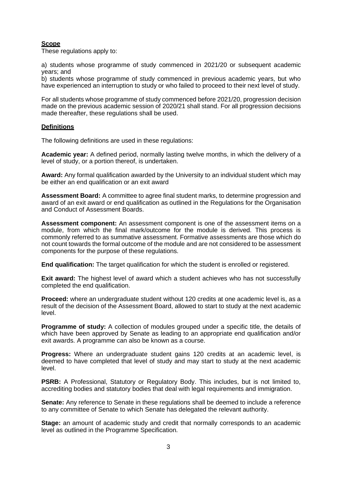## **Scope**

These regulations apply to:

a) students whose programme of study commenced in 2021/20 or subsequent academic years; and

b) students whose programme of study commenced in previous academic years, but who have experienced an interruption to study or who failed to proceed to their next level of study.

For all students whose programme of study commenced before 2021/20, progression decision made on the previous academic session of 2020/21 shall stand. For all progression decisions made thereafter, these regulations shall be used.

#### **Definitions**

The following definitions are used in these regulations:

**Academic year:** A defined period, normally lasting twelve months, in which the delivery of a level of study, or a portion thereof, is undertaken.

**Award:** Any formal qualification awarded by the University to an individual student which may be either an end qualification or an exit award

**Assessment Board:** A committee to agree final student marks, to determine progression and award of an exit award or end qualification as outlined in the Regulations for the Organisation and Conduct of Assessment Boards.

**Assessment component:** An assessment component is one of the assessment items on a module, from which the final mark/outcome for the module is derived. This process is commonly referred to as summative assessment. Formative assessments are those which do not count towards the formal outcome of the module and are not considered to be assessment components for the purpose of these regulations.

**End qualification:** The target qualification for which the student is enrolled or registered.

**Exit award:** The highest level of award which a student achieves who has not successfully completed the end qualification.

**Proceed:** where an undergraduate student without 120 credits at one academic level is, as a result of the decision of the Assessment Board, allowed to start to study at the next academic level.

**Programme of study:** A collection of modules grouped under a specific title, the details of which have been approved by Senate as leading to an appropriate end qualification and/or exit awards. A programme can also be known as a course.

**Progress:** Where an undergraduate student gains 120 credits at an academic level, is deemed to have completed that level of study and may start to study at the next academic level.

**PSRB:** A Professional, Statutory or Regulatory Body. This includes, but is not limited to, accrediting bodies and statutory bodies that deal with legal requirements and immigration.

**Senate:** Any reference to Senate in these regulations shall be deemed to include a reference to any committee of Senate to which Senate has delegated the relevant authority.

**Stage:** an amount of academic study and credit that normally corresponds to an academic level as outlined in the Programme Specification.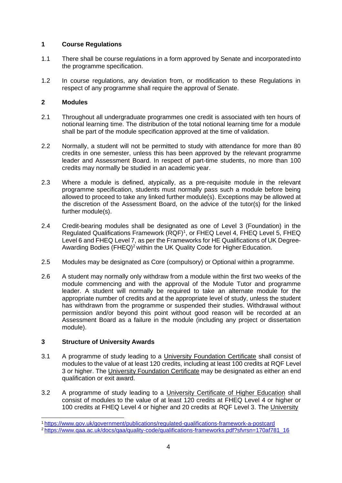## **1 Course Regulations**

- 1.1 There shall be course regulations in a form approved by Senate and incorporatedinto the programme specification.
- 1.2 In course regulations, any deviation from, or modification to these Regulations in respect of any programme shall require the approval of Senate.

## **2 Modules**

- 2.1 Throughout all undergraduate programmes one credit is associated with ten hours of notional learning time. The distribution of the total notional learning time for a module shall be part of the module specification approved at the time of validation.
- 2.2 Normally, a student will not be permitted to study with attendance for more than 80 credits in one semester, unless this has been approved by the relevant programme leader and Assessment Board. In respect of part-time students, no more than 100 credits may normally be studied in an academic year.
- 2.3 Where a module is defined, atypically, as a pre-requisite module in the relevant programme specification, students must normally pass such a module before being allowed to proceed to take any linked further module(s). Exceptions may be allowed at the discretion of the Assessment Board, on the advice of the tutor(s) for the linked further module(s).
- 2.4 Credit-bearing modules shall be designated as one of Level 3 (Foundation) in the Regulated Qualifications Framework (RQF)<sup>1</sup>, or FHEQ Level 4, FHEQ Level 5, FHEQ Level 6 and FHEQ Level 7, as per the Frameworks for HE Qualifications of UK Degree-Awarding Bodies (FHEQ)<sup>2</sup> within the UK Quality Code for Higher Education.
- 2.5 Modules may be designated as Core (compulsory) or Optional within a programme.
- 2.6 A student may normally only withdraw from a module within the first two weeks of the module commencing and with the approval of the Module Tutor and programme leader. A student will normally be required to take an alternate module for the appropriate number of credits and at the appropriate level of study, unless the student has withdrawn from the programme or suspended their studies. Withdrawal without permission and/or beyond this point without good reason will be recorded at an Assessment Board as a failure in the module (including any project or dissertation module).

## **3 Structure of University Awards**

- 3.1 A programme of study leading to a University Foundation Certificate shall consist of modules to the value of at least 120 credits, including at least 100 credits at RQF Level 3 or higher. The University Foundation Certificate may be designated as either an end qualification or exit award.
- 3.2 A programme of study leading to a University Certificate of Higher Education shall consist of modules to the value of at least 120 credits at FHEQ Level 4 or higher or 100 credits at FHEQ Level 4 or higher and 20 credits at RQF Level 3. The University

<sup>1</sup><https://www.gov.uk/government/publications/regulated-qualifications-framework-a-postcard>

<sup>&</sup>lt;sup>2</sup> [https://www.qaa.ac.uk/docs/qaa/quality-code/qualifications-frameworks.pdf?sfvrsn=170af781\\_16](https://www.qaa.ac.uk/docs/qaa/quality-code/qualifications-frameworks.pdf?sfvrsn=170af781_16)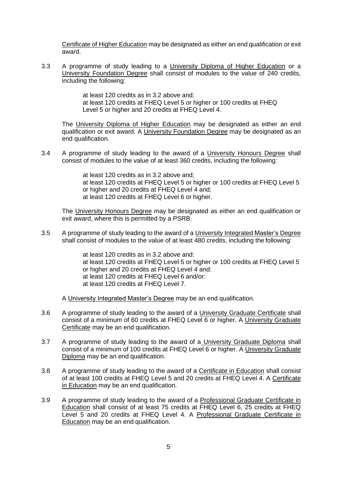Certificate of Higher Education may be designated as either an end qualification or exit award.

3.3 A programme of study leading to a University Diploma of Higher Education or a University Foundation Degree shall consist of modules to the value of 240 credits, including the following:

> at least 120 credits as in 3.2 above and; at least 120 credits at FHEQ Level 5 or higher or 100 credits at FHEQ Level 5 or higher and 20 credits at FHEQ Level 4.

The University Diploma of Higher Education may be designated as either an end qualification or exit award. A University Foundation Degree may be designated as an end qualification.

3.4 A programme of study leading to the award of a University Honours Degree shall consist of modules to the value of at least 360 credits, including the following:

> at least 120 credits as in 3.2 above and; at least 120 credits at FHEQ Level 5 or higher or 100 credits at FHEQ Level 5 or higher and 20 credits at FHEQ Level 4 and; at least 120 credits at FHEQ Level 6 or higher.

The University Honours Degree may be designated as either an end qualification or exit award, where this is permitted by a PSRB.

3.5 A programme of study leading to the award of a University Integrated Master's Degree shall consist of modules to the value of at least 480 credits, including the following:

> at least 120 credits as in 3.2 above and: at least 120 credits at FHEQ Level 5 or higher or 100 credits at FHEQ Level 5 or higher and 20 credits at FHEQ Level 4 and: at least 120 credits at FHEQ Level 6 and/or: at least 120 credits at FHEQ Level 7.

A University Integrated Master's Degree may be an end qualification.

- 3.6 A programme of study leading to the award of a University Graduate Certificate shall consist of a minimum of 60 credits at FHEQ Level 6 or higher. A University Graduate Certificate may be an end qualification.
- 3.7 A programme of study leading to the award of a University Graduate Diploma shall consist of a minimum of 100 credits at FHEQ Level 6 or higher. A University Graduate Diploma may be an end qualification.
- 3.8 A programme of study leading to the award of a Certificate in Education shall consist of at least 100 credits at FHEQ Level 5 and 20 credits at FHEQ Level 4. A Certificate in Education may be an end qualification.
- 3.9 A programme of study leading to the award of a Professional Graduate Certificate in Education shall consist of at least 75 credits at FHEQ Level 6, 25 credits at FHEQ Level 5 and 20 credits at FHEQ Level 4. A Professional Graduate Certificate in Education may be an end qualification.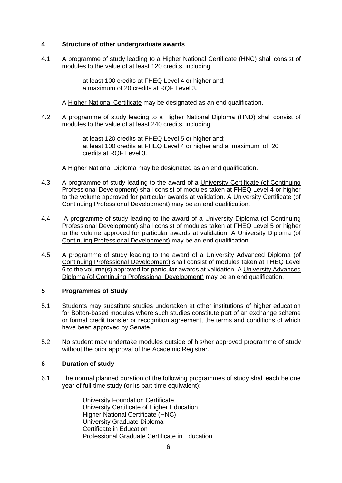## **4 Structure of other undergraduate awards**

4.1 A programme of study leading to a Higher National Certificate (HNC) shall consist of modules to the value of at least 120 credits, including:

> at least 100 credits at FHEQ Level 4 or higher and; a maximum of 20 credits at RQF Level 3.

A Higher National Certificate may be designated as an end qualification.

4.2 A programme of study leading to a Higher National Diploma (HND) shall consist of modules to the value of at least 240 credits, including:

> at least 120 credits at FHEQ Level 5 or higher and; at least 100 credits at FHEQ Level 4 or higher and a maximum of 20 credits at RQF Level 3.

A Higher National Diploma may be designated as an end qualification.

- 4.3 A programme of study leading to the award of a University Certificate (of Continuing Professional Development) shall consist of modules taken at FHEQ Level 4 or higher to the volume approved for particular awards at validation. A University Certificate (of Continuing Professional Development) may be an end qualification.
- 4.4 A programme of study leading to the award of a University Diploma (of Continuing Professional Development) shall consist of modules taken at FHEQ Level 5 or higher to the volume approved for particular awards at validation. A University Diploma (of Continuing Professional Development) may be an end qualification.
- 4.5 A programme of study leading to the award of a University Advanced Diploma (of Continuing Professional Development) shall consist of modules taken at FHEQ Level 6 to the volume(s) approved for particular awards at validation. A University Advanced Diploma (of Continuing Professional Development) may be an end qualification.

#### **5 Programmes of Study**

- 5.1 Students may substitute studies undertaken at other institutions of higher education for Bolton-based modules where such studies constitute part of an exchange scheme or formal credit transfer or recognition agreement, the terms and conditions of which have been approved by Senate.
- 5.2 No student may undertake modules outside of his/her approved programme of study without the prior approval of the Academic Registrar.

#### **6 Duration of study**

6.1 The normal planned duration of the following programmes of study shall each be one year of full-time study (or its part-time equivalent):

> University Foundation Certificate University Certificate of Higher Education Higher National Certificate (HNC) University Graduate Diploma Certificate in Education Professional Graduate Certificate in Education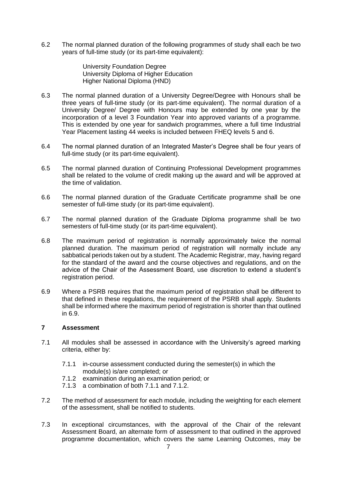6.2 The normal planned duration of the following programmes of study shall each be two years of full-time study (or its part-time equivalent):

> University Foundation Degree University Diploma of Higher Education Higher National Diploma (HND)

- 6.3 The normal planned duration of a University Degree/Degree with Honours shall be three years of full-time study (or its part-time equivalent). The normal duration of a University Degree/ Degree with Honours may be extended by one year by the incorporation of a level 3 Foundation Year into approved variants of a programme. This is extended by one year for sandwich programmes, where a full time Industrial Year Placement lasting 44 weeks is included between FHEQ levels 5 and 6.
- 6.4 The normal planned duration of an Integrated Master's Degree shall be four years of full-time study (or its part-time equivalent).
- 6.5 The normal planned duration of Continuing Professional Development programmes shall be related to the volume of credit making up the award and will be approved at the time of validation.
- 6.6 The normal planned duration of the Graduate Certificate programme shall be one semester of full-time study (or its part-time equivalent).
- 6.7 The normal planned duration of the Graduate Diploma programme shall be two semesters of full-time study (or its part-time equivalent).
- 6.8 The maximum period of registration is normally approximately twice the normal planned duration. The maximum period of registration will normally include any sabbatical periods taken out by a student. The Academic Registrar, may, having regard for the standard of the award and the course objectives and regulations, and on the advice of the Chair of the Assessment Board, use discretion to extend a student's registration period.
- 6.9 Where a PSRB requires that the maximum period of registration shall be different to that defined in these regulations, the requirement of the PSRB shall apply. Students shall be informed where the maximum period of registration is shorter than that outlined in 6.9.

## **7 Assessment**

- 7.1 All modules shall be assessed in accordance with the University's agreed marking criteria, either by:
	- 7.1.1 in-course assessment conducted during the semester(s) in which the module(s) is/are completed; or
	- 7.1.2 examination during an examination period; or
	- 7.1.3 a combination of both 7.1.1 and 7.1.2.
- 7.2 The method of assessment for each module, including the weighting for each element of the assessment, shall be notified to students.
- 7.3 In exceptional circumstances, with the approval of the Chair of the relevant Assessment Board, an alternate form of assessment to that outlined in the approved programme documentation, which covers the same Learning Outcomes, may be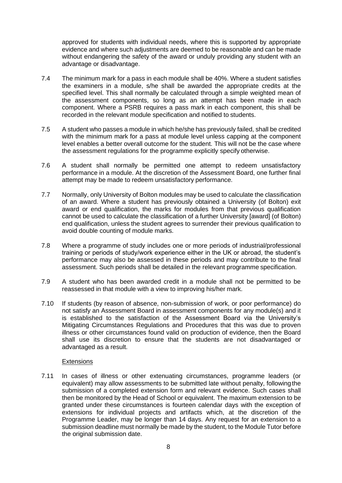approved for students with individual needs, where this is supported by appropriate evidence and where such adjustments are deemed to be reasonable and can be made without endangering the safety of the award or unduly providing any student with an advantage or disadvantage.

- 7.4 The minimum mark for a pass in each module shall be 40%. Where a student satisfies the examiners in a module, s/he shall be awarded the appropriate credits at the specified level. This shall normally be calculated through a simple weighted mean of the assessment components, so long as an attempt has been made in each component. Where a PSRB requires a pass mark in each component, this shall be recorded in the relevant module specification and notified to students.
- 7.5 A student who passes a module in which he/she has previously failed, shall be credited with the minimum mark for a pass at module level unless capping at the component level enables a better overall outcome for the student. This will not be the case where the assessment regulations for the programme explicitly specify otherwise.
- 7.6 A student shall normally be permitted one attempt to redeem unsatisfactory performance in a module. At the discretion of the Assessment Board, one further final attempt may be made to redeem unsatisfactory performance.
- 7.7 Normally, only University of Bolton modules may be used to calculate the classification of an award. Where a student has previously obtained a University (of Bolton) exit award or end qualification, the marks for modules from that previous qualification cannot be used to calculate the classification of a further University [award] (of Bolton) end qualification, unless the student agrees to surrender their previous qualification to avoid double counting of module marks.
- 7.8 Where a programme of study includes one or more periods of industrial/professional training or periods of study/work experience either in the UK or abroad, the student's performance may also be assessed in these periods and may contribute to the final assessment. Such periods shall be detailed in the relevant programme specification.
- 7.9 A student who has been awarded credit in a module shall not be permitted to be reassessed in that module with a view to improving his/her mark.
- 7.10 If students (by reason of absence, non-submission of work, or poor performance) do not satisfy an Assessment Board in assessment components for any module(s) and it is established to the satisfaction of the Assessment Board via the University's Mitigating Circumstances Regulations and Procedures that this was due to proven illness or other circumstances found valid on production of evidence, then the Board shall use its discretion to ensure that the students are not disadvantaged or advantaged as a result.

## **Extensions**

7.11 In cases of illness or other extenuating circumstances, programme leaders (or equivalent) may allow assessments to be submitted late without penalty, following the submission of a completed extension form and relevant evidence. Such cases shall then be monitored by the Head of School or equivalent. The maximum extension to be granted under these circumstances is fourteen calendar days with the exception of extensions for individual projects and artifacts which, at the discretion of the Programme Leader, may be longer than 14 days. Any request for an extension to a submission deadline must normally be made by the student, to the Module Tutor before the original submission date.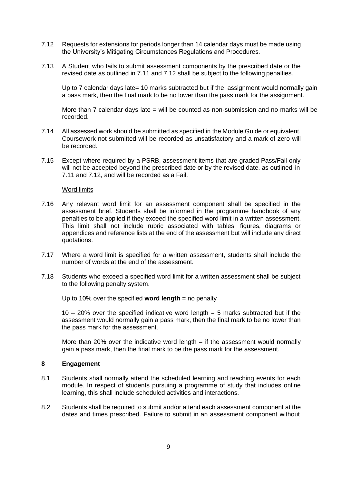- 7.12 Requests for extensions for periods longer than 14 calendar days must be made using the University's Mitigating Circumstances Regulations and Procedures.
- 7.13 A Student who fails to submit assessment components by the prescribed date or the revised date as outlined in 7.11 and 7.12 shall be subject to the following penalties.

Up to 7 calendar days late= 10 marks subtracted but if the assignment would normally gain a pass mark, then the final mark to be no lower than the pass mark for the assignment.

More than 7 calendar days late  $=$  will be counted as non-submission and no marks will be recorded.

- 7.14 All assessed work should be submitted as specified in the Module Guide or equivalent. Coursework not submitted will be recorded as unsatisfactory and a mark of zero will be recorded.
- 7.15 Except where required by a PSRB, assessment items that are graded Pass/Fail only will not be accepted beyond the prescribed date or by the revised date, as outlined in 7.11 and 7.12, and will be recorded as a Fail.

#### Word limits

- 7.16 Any relevant word limit for an assessment component shall be specified in the assessment brief. Students shall be informed in the programme handbook of any penalties to be applied if they exceed the specified word limit in a written assessment. This limit shall not include rubric associated with tables, figures, diagrams or appendices and reference lists at the end of the assessment but will include any direct quotations.
- 7.17 Where a word limit is specified for a written assessment, students shall include the number of words at the end of the assessment.
- 7.18 Students who exceed a specified word limit for a written assessment shall be subject to the following penalty system.

Up to 10% over the specified **word length** = no penalty

10 – 20% over the specified indicative word length = 5 marks subtracted but if the assessment would normally gain a pass mark, then the final mark to be no lower than the pass mark for the assessment.

More than 20% over the indicative word length  $=$  if the assessment would normally gain a pass mark, then the final mark to be the pass mark for the assessment.

#### **8 Engagement**

- 8.1 Students shall normally attend the scheduled learning and teaching events for each module. In respect of students pursuing a programme of study that includes online learning, this shall include scheduled activities and interactions.
- 8.2 Students shall be required to submit and/or attend each assessment component at the dates and times prescribed. Failure to submit in an assessment component without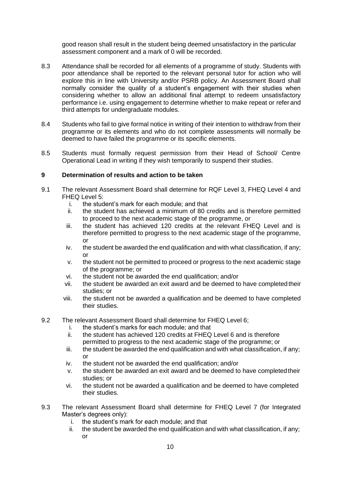good reason shall result in the student being deemed unsatisfactory in the particular assessment component and a mark of 0 will be recorded.

- 8.3 Attendance shall be recorded for all elements of a programme of study. Students with poor attendance shall be reported to the relevant personal tutor for action who will explore this in line with University and/or PSRB policy. An Assessment Board shall normally consider the quality of a student's engagement with their studies when considering whether to allow an additional final attempt to redeem unsatisfactory performance i.e. using engagement to determine whether to make repeat or refer and third attempts for undergraduate modules.
- 8.4 Students who fail to give formal notice in writing of their intention to withdraw from their programme or its elements and who do not complete assessments will normally be deemed to have failed the programme or its specific elements.
- 8.5 Students must formally request permission from their Head of School/ Centre Operational Lead in writing if they wish temporarily to suspend their studies.

## **9 Determination of results and action to be taken**

- 9.1 The relevant Assessment Board shall determine for RQF Level 3, FHEQ Level 4 and FHEQ Level 5:
	- the student's mark for each module; and that
	- ii. the student has achieved a minimum of 80 credits and is therefore permitted to proceed to the next academic stage of the programme, or
	- iii. the student has achieved 120 credits at the relevant FHEQ Level and is therefore permitted to progress to the next academic stage of the programme, or
	- iv. the student be awarded the end qualification and with what classification, if any; or
	- v. the student not be permitted to proceed or progress to the next academic stage of the programme; or
	- vi. the student not be awarded the end qualification; and/or
	- vii. the student be awarded an exit award and be deemed to have completedtheir studies; or
	- viii. the student not be awarded a qualification and be deemed to have completed their studies.
- 9.2 The relevant Assessment Board shall determine for FHEQ Level 6;
	- i. the student's marks for each module; and that
	- ii. the student has achieved 120 credits at FHEQ Level 6 and is therefore permitted to progress to the next academic stage of the programme; or
	- $i$ iii. the student be awarded the end qualification and with what classification, if any; or
	- iv. the student not be awarded the end qualification; and/or
	- v. the student be awarded an exit award and be deemed to have completedtheir studies; or
	- vi. the student not be awarded a qualification and be deemed to have completed their studies.
- 9.3 The relevant Assessment Board shall determine for FHEQ Level 7 (for Integrated Master's degrees only):
	- i. the student's mark for each module; and that
	- ii. the student be awarded the end qualification and with what classification, if any; or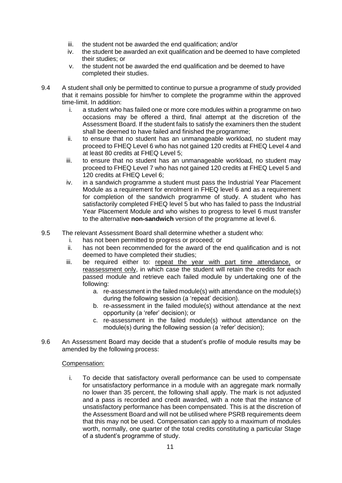- iii. the student not be awarded the end qualification; and/or
- iv. the student be awarded an exit qualification and be deemed to have completed their studies; or
- v. the student not be awarded the end qualification and be deemed to have completed their studies.
- 9.4 A student shall only be permitted to continue to pursue a programme of study provided that it remains possible for him/her to complete the programme within the approved time-limit. In addition:
	- i. a student who has failed one or more core modules within a programme on two occasions may be offered a third, final attempt at the discretion of the Assessment Board. If the student fails to satisfy the examiners then the student shall be deemed to have failed and finished the programme;
	- ii. to ensure that no student has an unmanageable workload, no student may proceed to FHEQ Level 6 who has not gained 120 credits at FHEQ Level 4 and at least 80 credits at FHEQ Level 5;
	- iii. to ensure that no student has an unmanageable workload, no student may proceed to FHEQ Level 7 who has not gained 120 credits at FHEQ Level 5 and 120 credits at FHEQ Level 6;
	- iv. in a sandwich programme a student must pass the Industrial Year Placement Module as a requirement for enrolment in FHEQ level 6 and as a requirement for completion of the sandwich programme of study. A student who has satisfactorily completed FHEQ level 5 but who has failed to pass the Industrial Year Placement Module and who wishes to progress to level 6 must transfer to the alternative **non-sandwich** version of the programme at level 6.
- 9.5 The relevant Assessment Board shall determine whether a student who:
	- i. has not been permitted to progress or proceed; or<br>ii. has not been recommended for the award of the
	- has not been recommended for the award of the end qualification and is not deemed to have completed their studies;
	- iii. be required either to: repeat the year with part time attendance, or reassessment only, in which case the student will retain the credits for each passed module and retrieve each failed module by undertaking one of the following:
		- a. re-assessment in the failed module(s) with attendance on the module(s) during the following session (a 'repeat' decision).
		- b. re-assessment in the failed module(s) without attendance at the next opportunity (a 'refer' decision); or
		- c. re-assessment in the failed module(s) without attendance on the module(s) during the following session (a 'refer' decision);
- 9.6 An Assessment Board may decide that a student's profile of module results may be amended by the following process:

## Compensation:

i. To decide that satisfactory overall performance can be used to compensate for unsatisfactory performance in a module with an aggregate mark normally no lower than 35 percent, the following shall apply. The mark is not adjusted and a pass is recorded and credit awarded, with a note that the instance of unsatisfactory performance has been compensated. This is at the discretion of the Assessment Board and will not be utilised where PSRB requirements deem that this may not be used. Compensation can apply to a maximum of modules worth, normally, one quarter of the total credits constituting a particular Stage of a student's programme of study.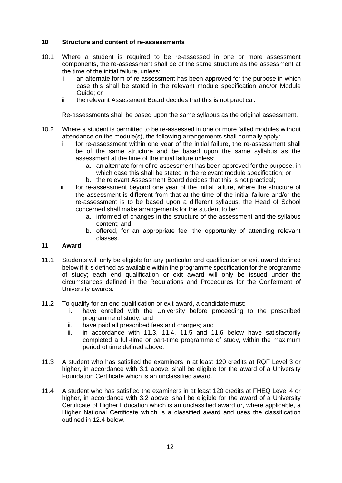## **10 Structure and content of re-assessments**

- 10.1 Where a student is required to be re-assessed in one or more assessment components, the re-assessment shall be of the same structure as the assessment at the time of the initial failure, unless:
	- i. an alternate form of re-assessment has been approved for the purpose in which case this shall be stated in the relevant module specification and/or Module Guide; or
	- ii. the relevant Assessment Board decides that this is not practical.

Re-assessments shall be based upon the same syllabus as the original assessment.

- 10.2 Where a student is permitted to be re-assessed in one or more failed modules without attendance on the module(s), the following arrangements shall normally apply:
	- i. for re-assessment within one year of the initial failure, the re-assessment shall be of the same structure and be based upon the same syllabus as the assessment at the time of the initial failure unless;
		- a. an alternate form of re-assessment has been approved for the purpose, in which case this shall be stated in the relevant module specification; or
		- b. the relevant Assessment Board decides that this is not practical;
	- ii. for re-assessment beyond one year of the initial failure, where the structure of the assessment is different from that at the time of the initial failure and/or the re-assessment is to be based upon a different syllabus, the Head of School concerned shall make arrangements for the student to be:
		- a. informed of changes in the structure of the assessment and the syllabus content; and
		- b. offered, for an appropriate fee, the opportunity of attending relevant classes.

## **11 Award**

- 11.1 Students will only be eligible for any particular end qualification or exit award defined below if it is defined as available within the programme specification for the programme of study; each end qualification or exit award will only be issued under the circumstances defined in the Regulations and Procedures for the Conferment of University awards.
- 11.2 To qualify for an end qualification or exit award, a candidate must:
	- i. have enrolled with the University before proceeding to the prescribed programme of study; and
	- ii. have paid all prescribed fees and charges; and
	- iii. in accordance with 11.3, 11.4, 11.5 and 11.6 below have satisfactorily completed a full-time or part-time programme of study, within the maximum period of time defined above.
- 11.3 A student who has satisfied the examiners in at least 120 credits at RQF Level 3 or higher, in accordance with 3.1 above, shall be eligible for the award of a University Foundation Certificate which is an unclassified award.
- 11.4 A student who has satisfied the examiners in at least 120 credits at FHEQ Level 4 or higher, in accordance with 3.2 above, shall be eligible for the award of a University Certificate of Higher Education which is an unclassified award or, where applicable, a Higher National Certificate which is a classified award and uses the classification outlined in 12.4 below.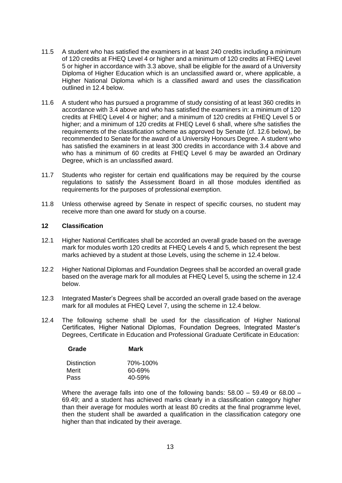- 11.5 A student who has satisfied the examiners in at least 240 credits including a minimum of 120 credits at FHEQ Level 4 or higher and a minimum of 120 credits at FHEQ Level 5 or higher in accordance with 3.3 above, shall be eligible for the award of a University Diploma of Higher Education which is an unclassified award or, where applicable, a Higher National Diploma which is a classified award and uses the classification outlined in 12.4 below.
- 11.6 A student who has pursued a programme of study consisting of at least 360 credits in accordance with 3.4 above and who has satisfied the examiners in: a minimum of 120 credits at FHEQ Level 4 or higher; and a minimum of 120 credits at FHEQ Level 5 or higher; and a minimum of 120 credits at FHEQ Level 6 shall, where s/he satisfies the requirements of the classification scheme as approved by Senate (cf. 12.6 below), be recommended to Senate for the award of a University Honours Degree. A student who has satisfied the examiners in at least 300 credits in accordance with 3.4 above and who has a minimum of 60 credits at FHEQ Level 6 may be awarded an Ordinary Degree, which is an unclassified award.
- 11.7 Students who register for certain end qualifications may be required by the course regulations to satisfy the Assessment Board in all those modules identified as requirements for the purposes of professional exemption.
- 11.8 Unless otherwise agreed by Senate in respect of specific courses, no student may receive more than one award for study on a course.

#### **12 Classification**

- 12.1 Higher National Certificates shall be accorded an overall grade based on the average mark for modules worth 120 credits at FHEQ Levels 4 and 5, which represent the best marks achieved by a student at those Levels, using the scheme in 12.4 below.
- 12.2 Higher National Diplomas and Foundation Degrees shall be accorded an overall grade based on the average mark for all modules at FHEQ Level 5, using the scheme in 12.4 below.
- 12.3 Integrated Master's Degrees shall be accorded an overall grade based on the average mark for all modules at FHEQ Level 7, using the scheme in 12.4 below.
- 12.4 The following scheme shall be used for the classification of Higher National Certificates, Higher National Diplomas, Foundation Degrees, Integrated Master's Degrees, Certificate in Education and Professional Graduate Certificate in Education:

| Grade       | <b>Mark</b> |
|-------------|-------------|
| Distinction | 70%-100%    |
| Merit       | 60-69%      |
| Pass        | 40-59%      |

Where the average falls into one of the following bands:  $58.00 - 59.49$  or  $68.00 -$ 69.49; and a student has achieved marks clearly in a classification category higher than their average for modules worth at least 80 credits at the final programme level, then the student shall be awarded a qualification in the classification category one higher than that indicated by their average.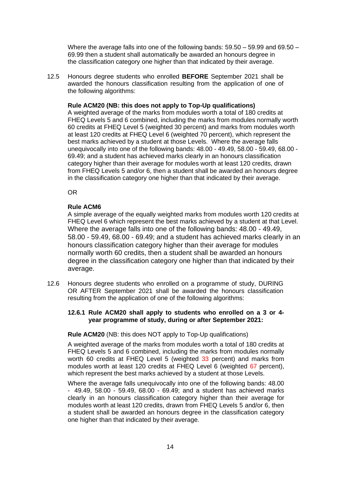Where the average falls into one of the following bands: 59.50 – 59.99 and 69.50 – 69.99 then a student shall automatically be awarded an honours degree in the classification category one higher than that indicated by their average.

12.5 Honours degree students who enrolled **BEFORE** September 2021 shall be awarded the honours classification resulting from the application of one of the following algorithms:

#### **Rule ACM20 (NB: this does not apply to Top-Up qualifications)**

A weighted average of the marks from modules worth a total of 180 credits at FHEQ Levels 5 and 6 combined, including the marks from modules normally worth 60 credits at FHEQ Level 5 (weighted 30 percent) and marks from modules worth at least 120 credits at FHEQ Level 6 (weighted 70 percent), which represent the best marks achieved by a student at those Levels. Where the average falls unequivocally into one of the following bands: 48.00 - 49.49, 58.00 - 59.49, 68.00 - 69.49; and a student has achieved marks clearly in an honours classification category higher than their average for modules worth at least 120 credits, drawn from FHEQ Levels 5 and/or 6, then a student shall be awarded an honours degree in the classification category one higher than that indicated by their average.

OR

#### **Rule ACM6**

A simple average of the equally weighted marks from modules worth 120 credits at FHEQ Level 6 which represent the best marks achieved by a student at that Level. Where the average falls into one of the following bands: 48.00 - 49.49, 58.00 - 59.49, 68.00 - 69.49; and a student has achieved marks clearly in an honours classification category higher than their average for modules normally worth 60 credits, then a student shall be awarded an honours degree in the classification category one higher than that indicated by their average.

12.6 Honours degree students who enrolled on a programme of study, DURING OR AFTER September 2021 shall be awarded the honours classification resulting from the application of one of the following algorithms:

#### **12.6.1 Rule ACM20 shall apply to students who enrolled on a 3 or 4 year programme of study, during or after September 2021:**

#### **Rule ACM20** (NB: this does NOT apply to Top-Up qualifications)

A weighted average of the marks from modules worth a total of 180 credits at FHEQ Levels 5 and 6 combined, including the marks from modules normally worth 60 credits at FHEQ Level 5 (weighted 33 percent) and marks from modules worth at least 120 credits at FHEQ Level 6 (weighted 67 percent), which represent the best marks achieved by a student at those Levels.

Where the average falls unequivocally into one of the following bands: 48.00 - 49.49, 58.00 - 59.49, 68.00 - 69.49; and a student has achieved marks clearly in an honours classification category higher than their average for modules worth at least 120 credits, drawn from FHEQ Levels 5 and/or 6, then a student shall be awarded an honours degree in the classification category one higher than that indicated by their average.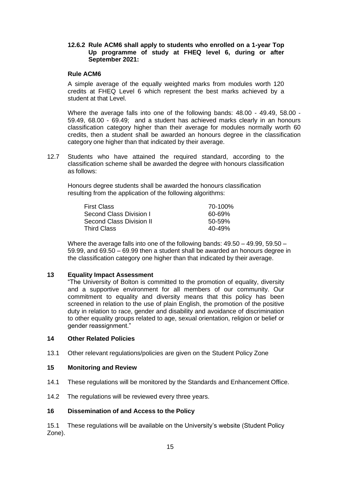#### **12.6.2 Rule ACM6 shall apply to students who enrolled on a 1-year Top Up programme of study at FHEQ level 6, during or after September 2021:**

#### **Rule ACM6**

A simple average of the equally weighted marks from modules worth 120 credits at FHEQ Level 6 which represent the best marks achieved by a student at that Level.

Where the average falls into one of the following bands: 48.00 - 49.49, 58.00 - 59.49, 68.00 - 69.49; and a student has achieved marks clearly in an honours classification category higher than their average for modules normally worth 60 credits, then a student shall be awarded an honours degree in the classification category one higher than that indicated by their average.

12.7 Students who have attained the required standard, according to the classification scheme shall be awarded the degree with honours classification as follows:

Honours degree students shall be awarded the honours classification resulting from the application of the following algorithms:

| <b>First Class</b>       | 70-100%    |
|--------------------------|------------|
| Second Class Division L  | 60-69%     |
| Second Class Division II | $50 - 59%$ |
| <b>Third Class</b>       | $40 - 49%$ |

Where the average falls into one of the following bands: 49.50 – 49.99, 59.50 – 59.99, and 69.50 – 69.99 then a student shall be awarded an honours degree in the classification category one higher than that indicated by their average.

## **13 Equality Impact Assessment**

"The University of Bolton is committed to the promotion of equality, diversity and a supportive environment for all members of our community. Our commitment to equality and diversity means that this policy has been screened in relation to the use of plain English, the promotion of the positive duty in relation to race, gender and disability and avoidance of discrimination to other equality groups related to age, sexual orientation, religion or belief or gender reassignment."

#### **14 Other Related Policies**

13.1 Other relevant regulations/policies are given on the Student Policy Zone

#### **15 Monitoring and Review**

- 14.1 These regulations will be monitored by the Standards and Enhancement Office.
- 14.2 The regulations will be reviewed every three years.

## **16 Dissemination of and Access to the Policy**

15.1 These regulations will be available on the University's website (Student Policy Zone).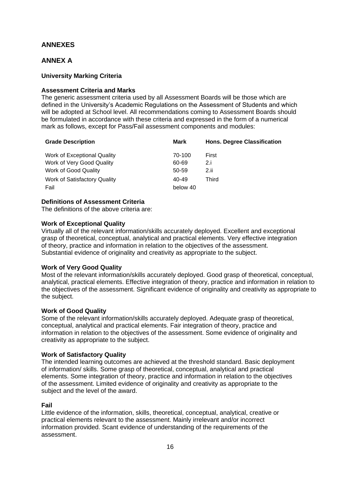## **ANNEXES**

## **ANNEX A**

## **University Marking Criteria**

## **Assessment Criteria and Marks**

The generic assessment criteria used by all Assessment Boards will be those which are defined in the University's Academic Regulations on the Assessment of Students and which will be adopted at School level. All recommendations coming to Assessment Boards should be formulated in accordance with these criteria and expressed in the form of a numerical mark as follows, except for Pass/Fail assessment components and modules:

| <b>Grade Description</b>     | Mark     | <b>Hons. Degree Classification</b> |
|------------------------------|----------|------------------------------------|
| Work of Exceptional Quality  | 70-100   | First                              |
| Work of Very Good Quality    | 60-69    | 2.i                                |
| Work of Good Quality         | 50-59    | 2.ii                               |
| Work of Satisfactory Quality | 40-49    | Third                              |
| Fail                         | below 40 |                                    |

## **Definitions of Assessment Criteria**

The definitions of the above criteria are:

#### **Work of Exceptional Quality**

Virtually all of the relevant information/skills accurately deployed. Excellent and exceptional grasp of theoretical, conceptual, analytical and practical elements. Very effective integration of theory, practice and information in relation to the objectives of the assessment. Substantial evidence of originality and creativity as appropriate to the subject.

## **Work of Very Good Quality**

Most of the relevant information/skills accurately deployed. Good grasp of theoretical, conceptual, analytical, practical elements. Effective integration of theory, practice and information in relation to the objectives of the assessment. Significant evidence of originality and creativity as appropriate to the subject.

## **Work of Good Quality**

Some of the relevant information/skills accurately deployed. Adequate grasp of theoretical, conceptual, analytical and practical elements. Fair integration of theory, practice and information in relation to the objectives of the assessment. Some evidence of originality and creativity as appropriate to the subject.

## **Work of Satisfactory Quality**

The intended learning outcomes are achieved at the threshold standard. Basic deployment of information/ skills. Some grasp of theoretical, conceptual, analytical and practical elements. Some integration of theory, practice and information in relation to the objectives of the assessment. Limited evidence of originality and creativity as appropriate to the subject and the level of the award.

## **Fail**

Little evidence of the information, skills, theoretical, conceptual, analytical, creative or practical elements relevant to the assessment. Mainly irrelevant and/or incorrect information provided. Scant evidence of understanding of the requirements of the assessment.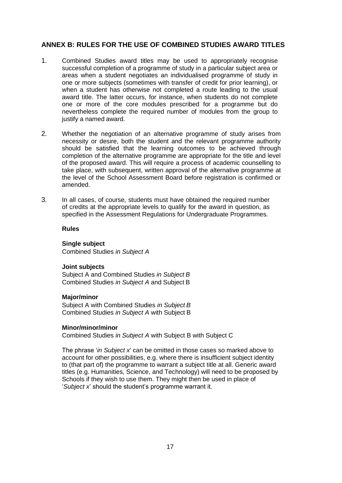## **ANNEX B: RULES FOR THE USE OF COMBINED STUDIES AWARD TITLES**

- 1. Combined Studies award titles may be used to appropriately recognise successful completion of a programme of study in a particular subject area or areas when a student negotiates an individualised programme of study in one or more subjects (sometimes with transfer of credit for prior learning), or when a student has otherwise not completed a route leading to the usual award title. The latter occurs, for instance, when students do not complete one or more of the core modules prescribed for a programme but do nevertheless complete the required number of modules from the group to justify a named award.
- 2. Whether the negotiation of an alternative programme of study arises from necessity or desire, both the student and the relevant programme authority should be satisfied that the learning outcomes to be achieved through completion of the alternative programme are appropriate for the title and level of the proposed award. This will require a process of academic counselling to take place, with subsequent, written approval of the alternative programme at the level of the School Assessment Board before registration is confirmed or amended.
- 3. In all cases, of course, students must have obtained the required number of credits at the appropriate levels to qualify for the award in question, as specified in the Assessment Regulations for Undergraduate Programmes.

**Rules**

## **Single subject**

Combined Studies *in Subject A*

#### **Joint subjects**

Subject A and Combined Studies *in Subject B* Combined Studies *in Subject A* and Subject B

#### **Major/minor**

Subject A with Combined Studies *in Subject B* Combined Studies *in Subject A* with Subject B

#### **Minor/minor/minor**

Combined Studies *in Subject A* with Subject B with Subject C

The phrase '*in Subject x*' can be omitted in those cases so marked above to account for other possibilities, e.g. where there is insufficient subject identity to (that part of) the programme to warrant a subject title at all. Generic award titles (e.g. Humanities, Science, and Technology) will need to be proposed by Schools if they wish to use them. They might then be used in place of '*Subject x*' should the student's programme warrant it.